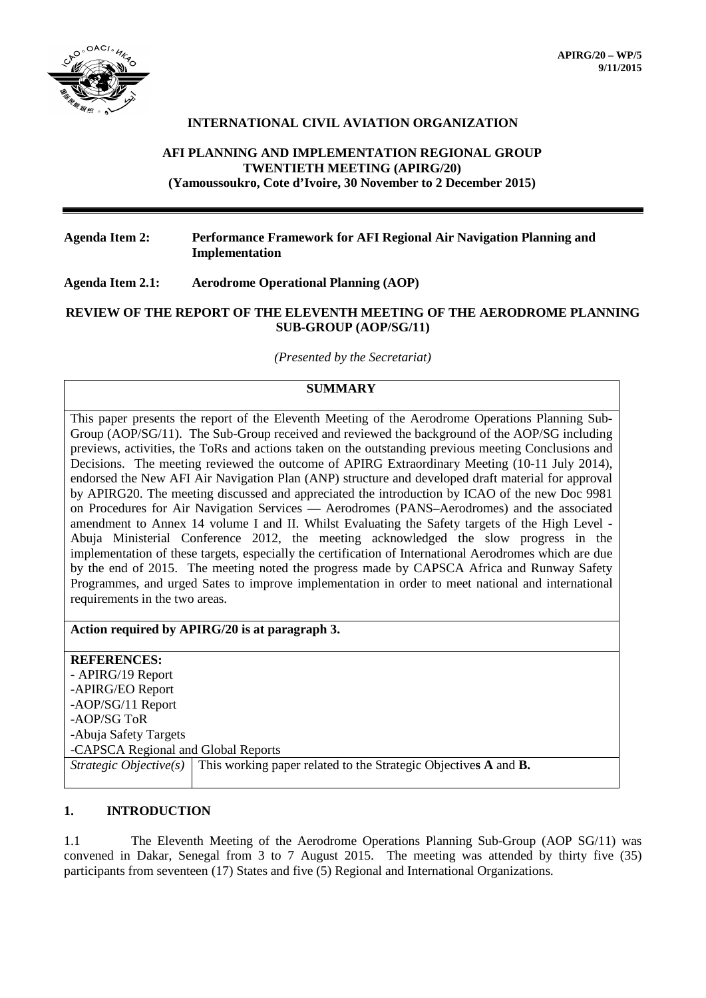

## **INTERNATIONAL CIVIL AVIATION ORGANIZATION**

## **AFI PLANNING AND IMPLEMENTATION REGIONAL GROUP TWENTIETH MEETING (APIRG/20) (Yamoussoukro, Cote d'Ivoire, 30 November to 2 December 2015)**

## **Agenda Item 2: Performance Framework for AFI Regional Air Navigation Planning and Implementation**

### **Agenda Item 2.1: Aerodrome Operational Planning (AOP)**

### **REVIEW OF THE REPORT OF THE ELEVENTH MEETING OF THE AERODROME PLANNING SUB-GROUP (AOP/SG/11)**

*(Presented by the Secretariat)*

# **SUMMARY**

This paper presents the report of the Eleventh Meeting of the Aerodrome Operations Planning Sub-Group (AOP/SG/11). The Sub-Group received and reviewed the background of the AOP/SG including previews, activities, the ToRs and actions taken on the outstanding previous meeting Conclusions and Decisions. The meeting reviewed the outcome of APIRG Extraordinary Meeting (10-11 July 2014), endorsed the New AFI Air Navigation Plan (ANP) structure and developed draft material for approval by APIRG20. The meeting discussed and appreciated the introduction by ICAO of the new Doc 9981 on Procedures for Air Navigation Services — Aerodromes (PANS–Aerodromes) and the associated amendment to Annex 14 volume I and II. Whilst Evaluating the Safety targets of the High Level - Abuja Ministerial Conference 2012, the meeting acknowledged the slow progress in the implementation of these targets, especially the certification of International Aerodromes which are due by the end of 2015. The meeting noted the progress made by CAPSCA Africa and Runway Safety Programmes, and urged Sates to improve implementation in order to meet national and international requirements in the two areas.

## **Action required by APIRG/20 is at paragraph 3.**

**REFERENCES:** - APIRG/19 Report -APIRG/EO Report -AOP/SG/11 Report -AOP/SG ToR -Abuja Safety Targets -CAPSCA Regional and Global Reports *Strategic Objective(s)* This working paper related to the Strategic Objectives A and **B.** 

## **1. INTRODUCTION**

1.1 The Eleventh Meeting of the Aerodrome Operations Planning Sub-Group (AOP SG/11) was convened in Dakar, Senegal from 3 to 7 August 2015. The meeting was attended by thirty five (35) participants from seventeen (17) States and five (5) Regional and International Organizations.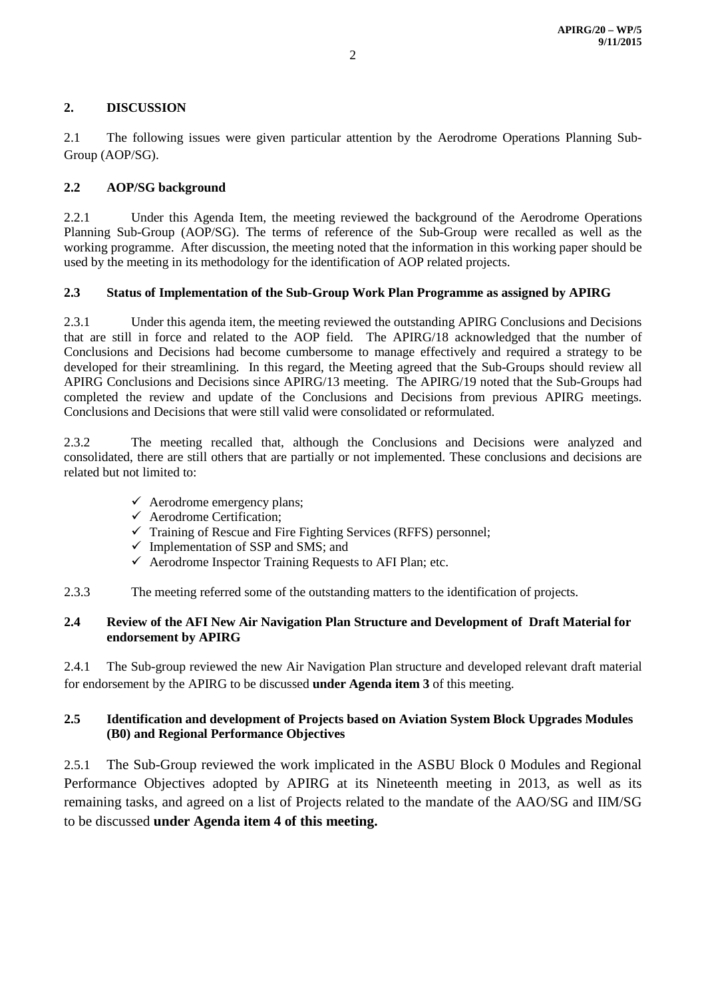# **2. DISCUSSION**

2.1 The following issues were given particular attention by the Aerodrome Operations Planning Sub-Group (AOP/SG).

# **2.2 AOP/SG background**

2.2.1 Under this Agenda Item, the meeting reviewed the background of the Aerodrome Operations Planning Sub-Group (AOP/SG). The terms of reference of the Sub-Group were recalled as well as the working programme. After discussion, the meeting noted that the information in this working paper should be used by the meeting in its methodology for the identification of AOP related projects.

## **2.3 Status of Implementation of the Sub-Group Work Plan Programme as assigned by APIRG**

2.3.1 Under this agenda item, the meeting reviewed the outstanding APIRG Conclusions and Decisions that are still in force and related to the AOP field. The APIRG/18 acknowledged that the number of Conclusions and Decisions had become cumbersome to manage effectively and required a strategy to be developed for their streamlining. In this regard, the Meeting agreed that the Sub-Groups should review all APIRG Conclusions and Decisions since APIRG/13 meeting. The APIRG/19 noted that the Sub-Groups had completed the review and update of the Conclusions and Decisions from previous APIRG meetings. Conclusions and Decisions that were still valid were consolidated or reformulated.

2.3.2 The meeting recalled that, although the Conclusions and Decisions were analyzed and consolidated, there are still others that are partially or not implemented. These conclusions and decisions are related but not limited to:

- $\checkmark$  Aerodrome emergency plans;
- $\checkmark$  Aerodrome Certification;
- $\checkmark$  Training of Rescue and Fire Fighting Services (RFFS) personnel;
- $\checkmark$  Implementation of SSP and SMS; and
- $\checkmark$  Aerodrome Inspector Training Requests to AFI Plan; etc.
- 2.3.3 The meeting referred some of the outstanding matters to the identification of projects.

## **2.4 Review of the AFI New Air Navigation Plan Structure and Development of Draft Material for endorsement by APIRG**

2.4.1 The Sub-group reviewed the new Air Navigation Plan structure and developed relevant draft material for endorsement by the APIRG to be discussed **under Agenda item 3** of this meeting.

# **2.5 Identification and development of Projects based on Aviation System Block Upgrades Modules (B0) and Regional Performance Objectives**

2.5.1 The Sub-Group reviewed the work implicated in the ASBU Block 0 Modules and Regional Performance Objectives adopted by APIRG at its Nineteenth meeting in 2013, as well as its remaining tasks, and agreed on a list of Projects related to the mandate of the AAO/SG and IIM/SG to be discussed **under Agenda item 4 of this meeting.**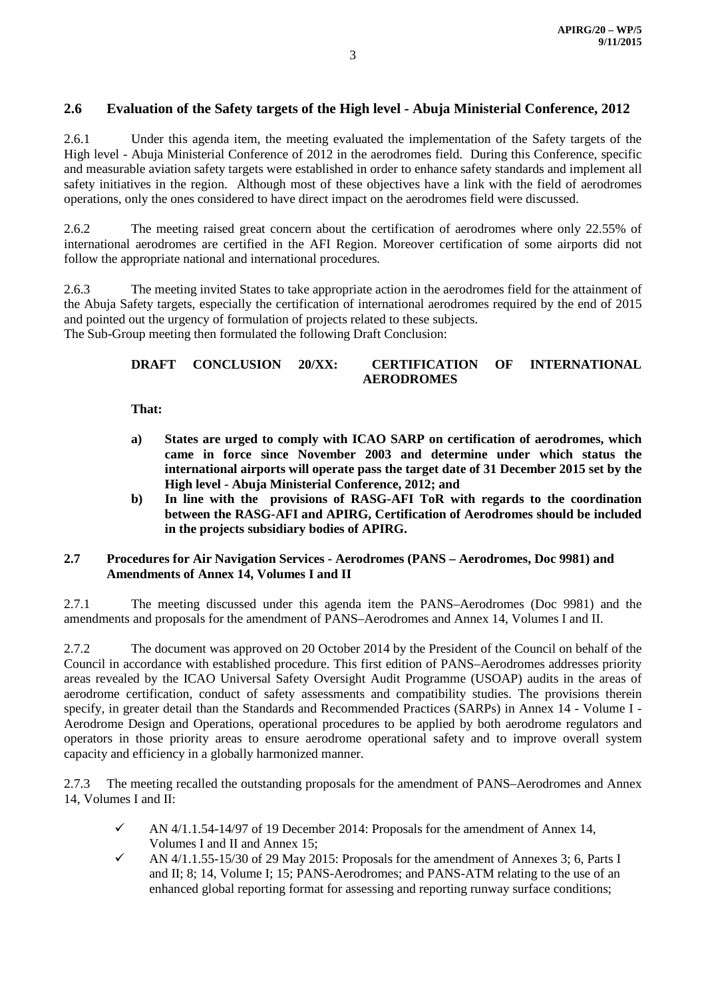# **2.6 Evaluation of the Safety targets of the High level - Abuja Ministerial Conference, 2012**

2.6.1 Under this agenda item, the meeting evaluated the implementation of the Safety targets of the High level - Abuja Ministerial Conference of 2012 in the aerodromes field. During this Conference, specific and measurable aviation safety targets were established in order to enhance safety standards and implement all safety initiatives in the region. Although most of these objectives have a link with the field of aerodromes operations, only the ones considered to have direct impact on the aerodromes field were discussed.

2.6.2 The meeting raised great concern about the certification of aerodromes where only 22.55% of international aerodromes are certified in the AFI Region. Moreover certification of some airports did not follow the appropriate national and international procedures.

2.6.3 The meeting invited States to take appropriate action in the aerodromes field for the attainment of the Abuja Safety targets, especially the certification of international aerodromes required by the end of 2015 and pointed out the urgency of formulation of projects related to these subjects. The Sub-Group meeting then formulated the following Draft Conclusion:

## **DRAFT CONCLUSION 20/XX: CERTIFICATION OF INTERNATIONAL AERODROMES**

**That:** 

- **a) States are urged to comply with ICAO SARP on certification of aerodromes, which came in force since November 2003 and determine under which status the international airports will operate pass the target date of 31 December 2015 set by the High level - Abuja Ministerial Conference, 2012; and**
- **b) In line with the provisions of RASG-AFI ToR with regards to the coordination between the RASG-AFI and APIRG, Certification of Aerodromes should be included in the projects subsidiary bodies of APIRG.**

### **2.7 Procedures for Air Navigation Services - Aerodromes (PANS – Aerodromes, Doc 9981) and Amendments of Annex 14, Volumes I and II**

2.7.1 The meeting discussed under this agenda item the PANS–Aerodromes (Doc 9981) and the amendments and proposals for the amendment of PANS–Aerodromes and Annex 14, Volumes I and II.

2.7.2 The document was approved on 20 October 2014 by the President of the Council on behalf of the Council in accordance with established procedure. This first edition of PANS–Aerodromes addresses priority areas revealed by the ICAO Universal Safety Oversight Audit Programme (USOAP) audits in the areas of aerodrome certification, conduct of safety assessments and compatibility studies. The provisions therein specify, in greater detail than the Standards and Recommended Practices (SARPs) in Annex 14 - Volume I - Aerodrome Design and Operations, operational procedures to be applied by both aerodrome regulators and operators in those priority areas to ensure aerodrome operational safety and to improve overall system capacity and efficiency in a globally harmonized manner.

2.7.3 The meeting recalled the outstanding proposals for the amendment of PANS–Aerodromes and Annex 14, Volumes I and II:

- $\checkmark$  AN 4/1.1.54-14/97 of 19 December 2014: Proposals for the amendment of Annex 14, Volumes I and II and Annex 15;
- AN  $4/1.1.55-15/30$  of 29 May 2015: Proposals for the amendment of Annexes 3; 6, Parts I and II; 8; 14, Volume I; 15; PANS-Aerodromes; and PANS-ATM relating to the use of an enhanced global reporting format for assessing and reporting runway surface conditions;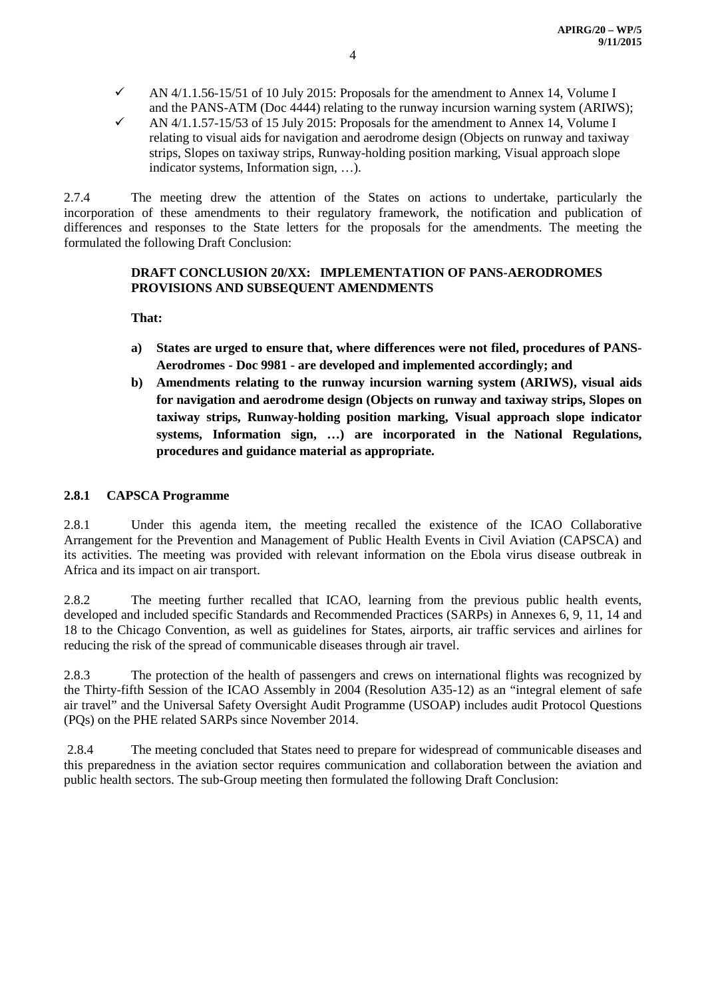- AN  $4/1.1.56-15/51$  of 10 July 2015: Proposals for the amendment to Annex 14, Volume I and the PANS-ATM (Doc 4444) relating to the runway incursion warning system (ARIWS);
- AN 4/1.1.57-15/53 of 15 July 2015: Proposals for the amendment to Annex 14, Volume I relating to visual aids for navigation and aerodrome design (Objects on runway and taxiway strips, Slopes on taxiway strips, Runway-holding position marking, Visual approach slope indicator systems, Information sign, …).

2.7.4 The meeting drew the attention of the States on actions to undertake, particularly the incorporation of these amendments to their regulatory framework, the notification and publication of differences and responses to the State letters for the proposals for the amendments. The meeting the formulated the following Draft Conclusion:

## **DRAFT CONCLUSION 20/XX: IMPLEMENTATION OF PANS-AERODROMES PROVISIONS AND SUBSEQUENT AMENDMENTS**

**That:**

- **a) States are urged to ensure that, where differences were not filed, procedures of PANS-Aerodromes - Doc 9981 - are developed and implemented accordingly; and**
- **b) Amendments relating to the runway incursion warning system (ARIWS), visual aids for navigation and aerodrome design (Objects on runway and taxiway strips, Slopes on taxiway strips, Runway-holding position marking, Visual approach slope indicator systems, Information sign, …) are incorporated in the National Regulations, procedures and guidance material as appropriate.**

## **2.8.1 CAPSCA Programme**

2.8.1 Under this agenda item, the meeting recalled the existence of the ICAO Collaborative Arrangement for the Prevention and Management of Public Health Events in Civil Aviation (CAPSCA) and its activities. The meeting was provided with relevant information on the Ebola virus disease outbreak in Africa and its impact on air transport.

2.8.2 The meeting further recalled that ICAO, learning from the previous public health events, developed and included specific Standards and Recommended Practices (SARPs) in Annexes 6, 9, 11, 14 and 18 to the Chicago Convention, as well as guidelines for States, airports, air traffic services and airlines for reducing the risk of the spread of communicable diseases through air travel.

2.8.3 The protection of the health of passengers and crews on international flights was recognized by the Thirty-fifth Session of the ICAO Assembly in 2004 (Resolution A35-12) as an "integral element of safe air travel" and the Universal Safety Oversight Audit Programme (USOAP) includes audit Protocol Questions (PQs) on the PHE related SARPs since November 2014.

2.8.4 The meeting concluded that States need to prepare for widespread of communicable diseases and this preparedness in the aviation sector requires communication and collaboration between the aviation and public health sectors. The sub-Group meeting then formulated the following Draft Conclusion: